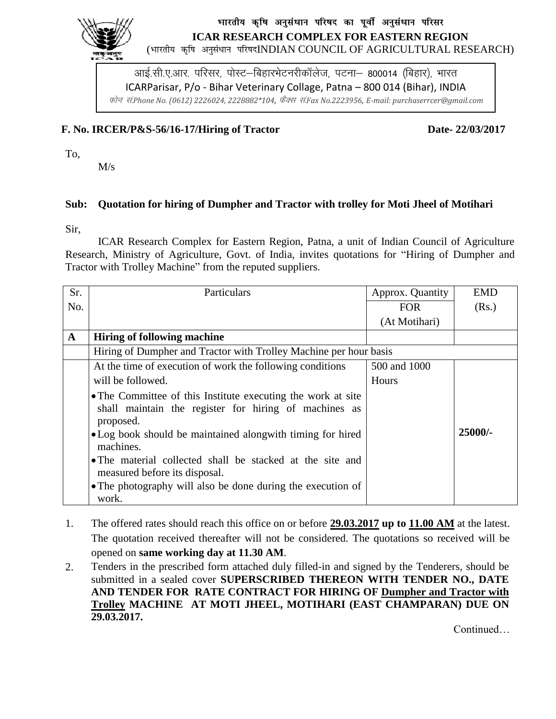

## भारतीय कृषि अनुसंधान परिषद का पूर्वी अनुसंधान परिसर **ICAR RESEARCH COMPLEX FOR EASTERN REGION**

(भारतीय कृषि अनुसंधान परिषदINDIAN COUNCIL OF AGRICULTURAL RESEARCH)

आई.सी.ए.आर. परिसर, पोस्ट–बिहारभेटनरीकॉलेज, पटना– 800014 (बिहार), भारत ICARParisar, P/o - Bihar Veterinary Collage, Patna – 800 014 (Bihar), INDIA Qksu la-*Phone No. (0612) 2226024, 2228882\*104,* QSDl la-*Fax No.2223956, E-mail: purchaserrcer@gmail.com*

## **F. No. IRCER/P&S-56/16-17/Hiring of Tractor Date- 22/03/2017**

To,

M/s

## **Sub: Quotation for hiring of Dumpher and Tractor with trolley for Moti Jheel of Motihari**

Sir,

ICAR Research Complex for Eastern Region, Patna, a unit of Indian Council of Agriculture Research, Ministry of Agriculture, Govt. of India, invites quotations for "Hiring of Dumpher and Tractor with Trolley Machine" from the reputed suppliers.

| Sr.         | Particulars                                                                                                                        | Approx. Quantity | <b>EMD</b> |  |  |  |  |
|-------------|------------------------------------------------------------------------------------------------------------------------------------|------------------|------------|--|--|--|--|
| No.         |                                                                                                                                    | <b>FOR</b>       | (Rs.)      |  |  |  |  |
|             |                                                                                                                                    | (At Motihari)    |            |  |  |  |  |
| $\mathbf A$ | <b>Hiring of following machine</b>                                                                                                 |                  |            |  |  |  |  |
|             | Hiring of Dumpher and Tractor with Trolley Machine per hour basis                                                                  |                  |            |  |  |  |  |
|             | At the time of execution of work the following conditions                                                                          | 500 and 1000     |            |  |  |  |  |
|             | will be followed.                                                                                                                  | Hours            |            |  |  |  |  |
|             | • The Committee of this Institute executing the work at site<br>shall maintain the register for hiring of machines as<br>proposed. |                  |            |  |  |  |  |
|             | • Log book should be maintained alongwith timing for hired<br>machines.                                                            |                  | 25000/-    |  |  |  |  |
|             | • The material collected shall be stacked at the site and<br>measured before its disposal.                                         |                  |            |  |  |  |  |
|             | • The photography will also be done during the execution of<br>work.                                                               |                  |            |  |  |  |  |

- 1. The offered rates should reach this office on or before **29.03.2017 up to 11.00 AM** at the latest. The quotation received thereafter will not be considered. The quotations so received will be opened on **same working day at 11.30 AM**.
- 2. Tenders in the prescribed form attached duly filled-in and signed by the Tenderers, should be submitted in a sealed cover **SUPERSCRIBED THEREON WITH TENDER NO., DATE AND TENDER FOR RATE CONTRACT FOR HIRING OF Dumpher and Tractor with Trolley MACHINE AT MOTI JHEEL, MOTIHARI (EAST CHAMPARAN) DUE ON 29.03.2017.**

Continued…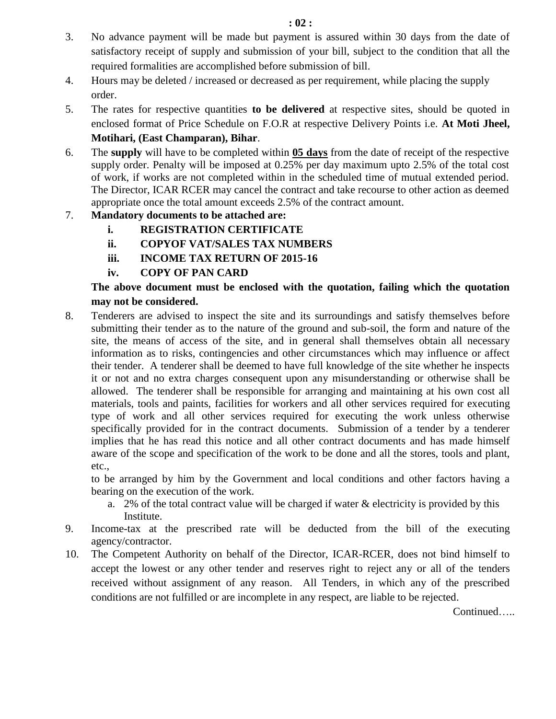- 3. No advance payment will be made but payment is assured within 30 days from the date of satisfactory receipt of supply and submission of your bill, subject to the condition that all the required formalities are accomplished before submission of bill.
- 4. Hours may be deleted / increased or decreased as per requirement, while placing the supply order.
- 5. The rates for respective quantities **to be delivered** at respective sites, should be quoted in enclosed format of Price Schedule on F.O.R at respective Delivery Points i.e. **At Moti Jheel, Motihari, (East Champaran), Bihar**.
- 6. The **supply** will have to be completed within **05 days** from the date of receipt of the respective supply order. Penalty will be imposed at 0.25% per day maximum upto 2.5% of the total cost of work, if works are not completed within in the scheduled time of mutual extended period. The Director, ICAR RCER may cancel the contract and take recourse to other action as deemed appropriate once the total amount exceeds 2.5% of the contract amount.
- 7. **Mandatory documents to be attached are:**
	- **i. REGISTRATION CERTIFICATE**
	- **ii. COPYOF VAT/SALES TAX NUMBERS**
	- **iii. INCOME TAX RETURN OF 2015-16**
	- **iv. COPY OF PAN CARD**

## **The above document must be enclosed with the quotation, failing which the quotation may not be considered.**

8. Tenderers are advised to inspect the site and its surroundings and satisfy themselves before submitting their tender as to the nature of the ground and sub-soil, the form and nature of the site, the means of access of the site, and in general shall themselves obtain all necessary information as to risks, contingencies and other circumstances which may influence or affect their tender. A tenderer shall be deemed to have full knowledge of the site whether he inspects it or not and no extra charges consequent upon any misunderstanding or otherwise shall be allowed. The tenderer shall be responsible for arranging and maintaining at his own cost all materials, tools and paints, facilities for workers and all other services required for executing type of work and all other services required for executing the work unless otherwise specifically provided for in the contract documents. Submission of a tender by a tenderer implies that he has read this notice and all other contract documents and has made himself aware of the scope and specification of the work to be done and all the stores, tools and plant, etc.,

to be arranged by him by the Government and local conditions and other factors having a bearing on the execution of the work.

- a. 2% of the total contract value will be charged if water  $\&$  electricity is provided by this Institute.
- 9. Income-tax at the prescribed rate will be deducted from the bill of the executing agency/contractor.
- 10. The Competent Authority on behalf of the Director, ICAR-RCER, does not bind himself to accept the lowest or any other tender and reserves right to reject any or all of the tenders received without assignment of any reason. All Tenders, in which any of the prescribed conditions are not fulfilled or are incomplete in any respect, are liable to be rejected.

Continued…..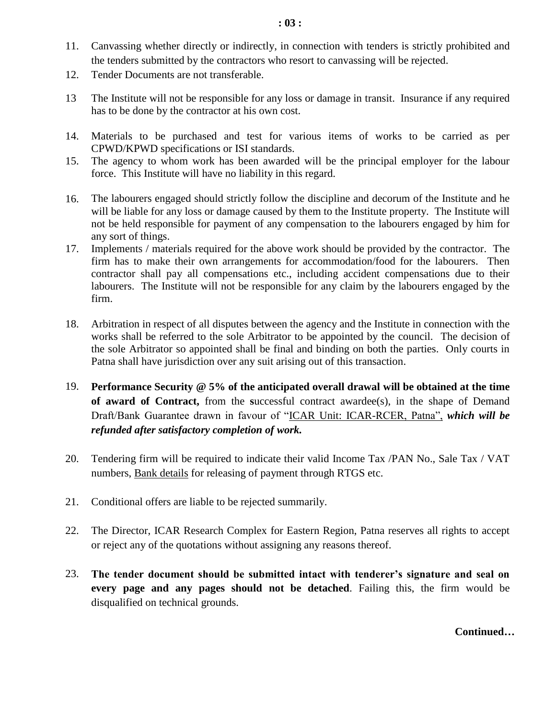- 11. Canvassing whether directly or indirectly, in connection with tenders is strictly prohibited and the tenders submitted by the contractors who resort to canvassing will be rejected.
- 12. Tender Documents are not transferable.
- 13 The Institute will not be responsible for any loss or damage in transit. Insurance if any required has to be done by the contractor at his own cost.
- 14. Materials to be purchased and test for various items of works to be carried as per CPWD/KPWD specifications or ISI standards.
- 15. The agency to whom work has been awarded will be the principal employer for the labour force. This Institute will have no liability in this regard.
- 16. The labourers engaged should strictly follow the discipline and decorum of the Institute and he will be liable for any loss or damage caused by them to the Institute property. The Institute will not be held responsible for payment of any compensation to the labourers engaged by him for any sort of things.
- 17. Implements / materials required for the above work should be provided by the contractor. The firm has to make their own arrangements for accommodation/food for the labourers. Then contractor shall pay all compensations etc., including accident compensations due to their labourers. The Institute will not be responsible for any claim by the labourers engaged by the firm.
- 18. Arbitration in respect of all disputes between the agency and the Institute in connection with the works shall be referred to the sole Arbitrator to be appointed by the council. The decision of the sole Arbitrator so appointed shall be final and binding on both the parties. Only courts in Patna shall have jurisdiction over any suit arising out of this transaction.
- 19. **Performance Security @ 5% of the anticipated overall drawal will be obtained at the time of award of Contract,** from the **s**uccessful contract awardee(s), in the shape of Demand Draft/Bank Guarantee drawn in favour of "ICAR Unit: ICAR-RCER, Patna", *which will be refunded after satisfactory completion of work.*
- 20. Tendering firm will be required to indicate their valid Income Tax /PAN No., Sale Tax / VAT numbers, Bank details for releasing of payment through RTGS etc.
- 21. Conditional offers are liable to be rejected summarily.
- 22. The Director, ICAR Research Complex for Eastern Region, Patna reserves all rights to accept or reject any of the quotations without assigning any reasons thereof.
- 23. **The tender document should be submitted intact with tenderer's signature and seal on every page and any pages should not be detached**. Failing this, the firm would be disqualified on technical grounds.

**Continued…**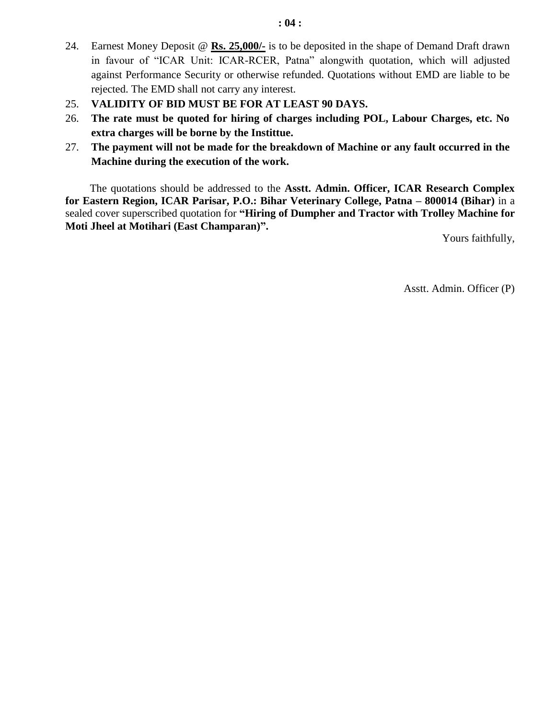- 24. Earnest Money Deposit @ **Rs. 25,000/-** is to be deposited in the shape of Demand Draft drawn in favour of "ICAR Unit: ICAR-RCER, Patna" alongwith quotation, which will adjusted against Performance Security or otherwise refunded. Quotations without EMD are liable to be rejected. The EMD shall not carry any interest.
- 25. **VALIDITY OF BID MUST BE FOR AT LEAST 90 DAYS.**
- 26. **The rate must be quoted for hiring of charges including POL, Labour Charges, etc. No extra charges will be borne by the Instittue.**
- 27. **The payment will not be made for the breakdown of Machine or any fault occurred in the Machine during the execution of the work.**

The quotations should be addressed to the **Asstt. Admin. Officer, ICAR Research Complex for Eastern Region, ICAR Parisar, P.O.: Bihar Veterinary College, Patna – 800014 (Bihar)** in a sealed cover superscribed quotation for **"Hiring of Dumpher and Tractor with Trolley Machine for Moti Jheel at Motihari (East Champaran)".**

Yours faithfully,

Asstt. Admin. Officer (P)